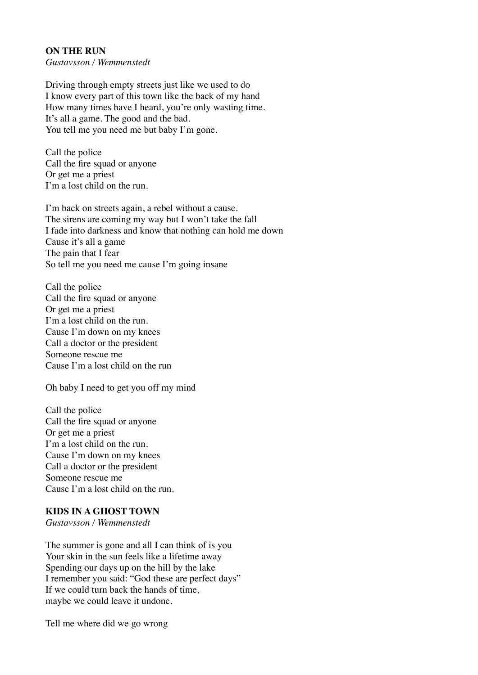# **ON THE RUN**

*Gustavsson / Wemmenstedt*

Driving through empty streets just like we used to do I know every part of this town like the back of my hand How many times have I heard, you're only wasting time. It's all a game. The good and the bad. You tell me you need me but baby I'm gone.

Call the police Call the fire squad or anyone Or get me a priest I'm a lost child on the run.

I'm back on streets again, a rebel without a cause. The sirens are coming my way but I won't take the fall I fade into darkness and know that nothing can hold me down Cause it's all a game The pain that I fear So tell me you need me cause I'm going insane

Call the police Call the fire squad or anyone Or get me a priest I'm a lost child on the run. Cause I'm down on my knees Call a doctor or the president Someone rescue me Cause I'm a lost child on the run

Oh baby I need to get you off my mind

Call the police Call the fire squad or anyone Or get me a priest I'm a lost child on the run. Cause I'm down on my knees Call a doctor or the president Someone rescue me Cause I'm a lost child on the run.

## **KIDS IN A GHOST TOWN**

*Gustavsson / Wemmenstedt*

The summer is gone and all I can think of is you Your skin in the sun feels like a lifetime away Spending our days up on the hill by the lake I remember you said: "God these are perfect days" If we could turn back the hands of time, maybe we could leave it undone.

Tell me where did we go wrong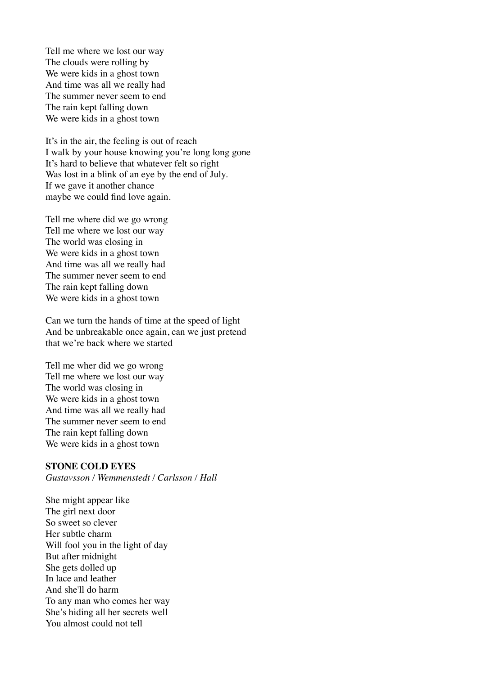Tell me where we lost our way The clouds were rolling by We were kids in a ghost town And time was all we really had The summer never seem to end The rain kept falling down We were kids in a ghost town

It's in the air, the feeling is out of reach I walk by your house knowing you're long long gone It's hard to believe that whatever felt so right Was lost in a blink of an eye by the end of July. If we gave it another chance maybe we could find love again.

Tell me where did we go wrong Tell me where we lost our way The world was closing in We were kids in a ghost town And time was all we really had The summer never seem to end The rain kept falling down We were kids in a ghost town

Can we turn the hands of time at the speed of light And be unbreakable once again, can we just pretend that we're back where we started

Tell me wher did we go wrong Tell me where we lost our way The world was closing in We were kids in a ghost town And time was all we really had The summer never seem to end The rain kept falling down We were kids in a ghost town

# **STONE COLD EYES**

*Gustavsson / Wemmenstedt / Carlsson / Hall*

She might appear like The girl next door So sweet so clever Her subtle charm Will fool you in the light of day But after midnight She gets dolled up In lace and leather And she'll do harm To any man who comes her way She's hiding all her secrets well You almost could not tell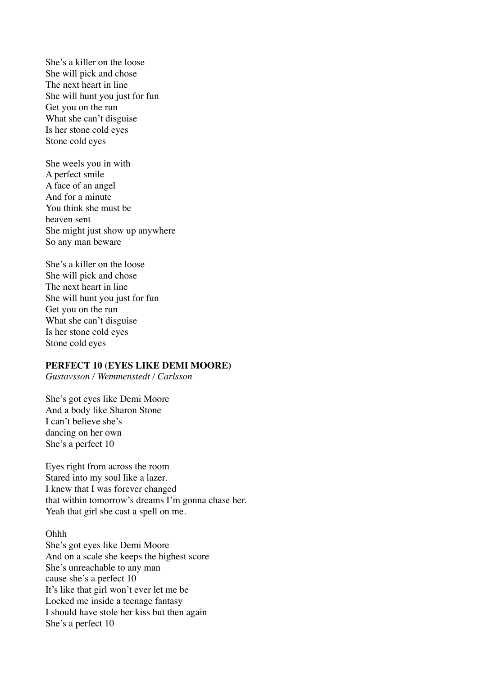She's a killer on the loose She will pick and chose The next heart in line She will hunt you just for fun Get you on the run What she can't disguise Is her stone cold eyes Stone cold eyes

She weels you in with A perfect smile A face of an angel And for a minute You think she must be heaven sent She might just show up anywhere So any man beware

She's a killer on the loose She will pick and chose The next heart in line She will hunt you just for fun Get you on the run What she can't disguise Is her stone cold eyes Stone cold eyes

# **PERFECT 10 (EYES LIKE DEMI MOORE)**

*Gustavsson / Wemmenstedt / Carlsson*

She's got eyes like Demi Moore And a body like Sharon Stone I can't believe she's dancing on her own She's a perfect 10

Eyes right from across the room Stared into my soul like a lazer. I knew that I was forever changed that within tomorrow's dreams I'm gonna chase her. Yeah that girl she cast a spell on me.

### Ohhh

She's got eyes like Demi Moore And on a scale she keeps the highest score She's unreachable to any man cause she's a perfect 10 It's like that girl won't ever let me be Locked me inside a teenage fantasy I should have stole her kiss but then again She's a perfect 10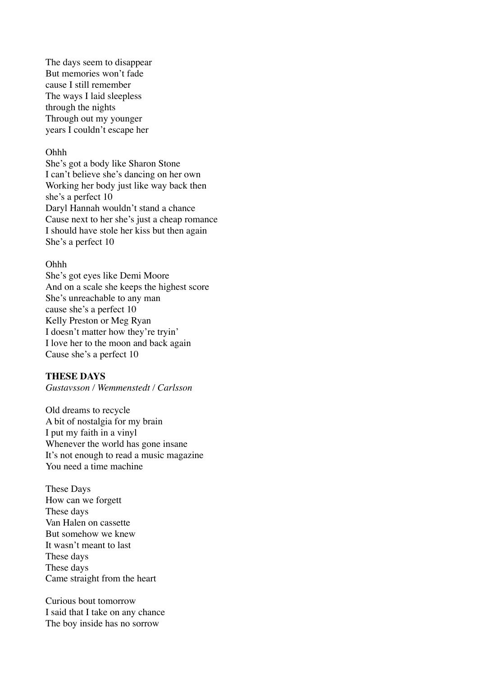The days seem to disappear But memories won't fade cause I still remember The ways I laid sleepless through the nights Through out my younger years I couldn't escape her

### Ohhh

She's got a body like Sharon Stone I can't believe she's dancing on her own Working her body just like way back then she's a perfect 10 Daryl Hannah wouldn't stand a chance Cause next to her she's just a cheap romance I should have stole her kiss but then again She's a perfect 10

#### Ohhh

She's got eyes like Demi Moore And on a scale she keeps the highest score She's unreachable to any man cause she's a perfect 10 Kelly Preston or Meg Ryan I doesn't matter how they're tryin' I love her to the moon and back again Cause she's a perfect 10

# **THESE DAYS**

*Gustavsson / Wemmenstedt / Carlsson*

Old dreams to recycle A bit of nostalgia for my brain I put my faith in a vinyl Whenever the world has gone insane It's not enough to read a music magazine You need a time machine

These Days How can we forgett These days Van Halen on cassette But somehow we knew It wasn't meant to last These days These days Came straight from the heart

Curious bout tomorrow I said that I take on any chance The boy inside has no sorrow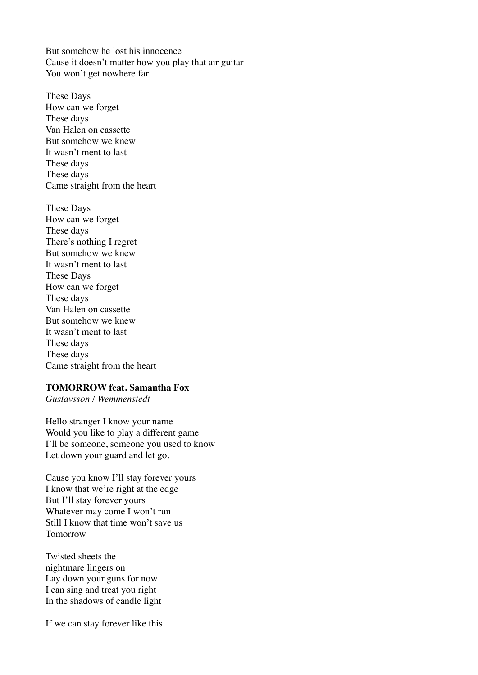But somehow he lost his innocence Cause it doesn't matter how you play that air guitar You won't get nowhere far

These Days How can we forget These days Van Halen on cassette But somehow we knew It wasn't ment to last These days These days Came straight from the heart

These Days How can we forget These days There's nothing I regret But somehow we knew It wasn't ment to last These Days How can we forget These days Van Halen on cassette But somehow we knew It wasn't ment to last These days These days Came straight from the heart

### **TOMORROW feat. Samantha Fox**

*Gustavsson / Wemmenstedt*

Hello stranger I know your name Would you like to play a different game I'll be someone, someone you used to know Let down your guard and let go.

Cause you know I'll stay forever yours I know that we're right at the edge But I'll stay forever yours Whatever may come I won't run Still I know that time won't save us Tomorrow

Twisted sheets the nightmare lingers on Lay down your guns for now I can sing and treat you right In the shadows of candle light

If we can stay forever like this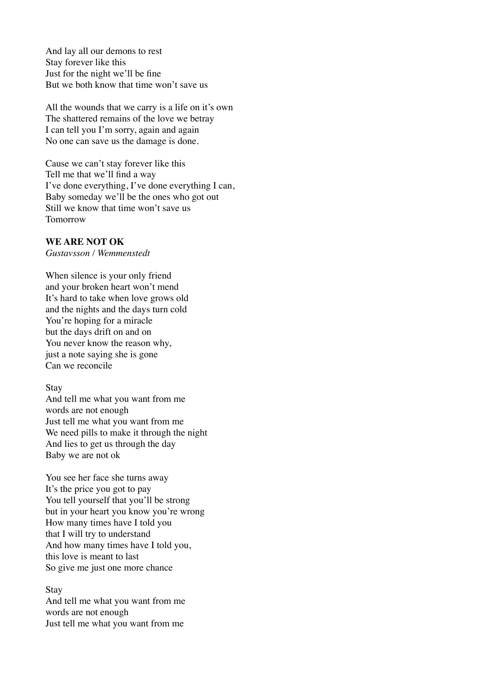And lay all our demons to rest Stay forever like this Just for the night we'll be fine But we both know that time won't save us

All the wounds that we carry is a life on it's own The shattered remains of the love we betray I can tell you I'm sorry, again and again No one can save us the damage is done.

Cause we can't stay forever like this Tell me that we'll find a way I've done everything, I've done everything I can, Baby someday we'll be the ones who got out Still we know that time won't save us Tomorrow

### **WE ARE NOT OK**

*Gustavsson / Wemmenstedt*

When silence is your only friend and your broken heart won't mend It's hard to take when love grows old and the nights and the days turn cold You're hoping for a miracle but the days drift on and on You never know the reason why, just a note saying she is gone Can we reconcile

### Stay

And tell me what you want from me words are not enough Just tell me what you want from me We need pills to make it through the night And lies to get us through the day Baby we are not ok

You see her face she turns away It's the price you got to pay You tell yourself that you'll be strong but in your heart you know you're wrong How many times have I told you that I will try to understand And how many times have I told you, this love is meant to last So give me just one more chance

### Stay

And tell me what you want from me words are not enough Just tell me what you want from me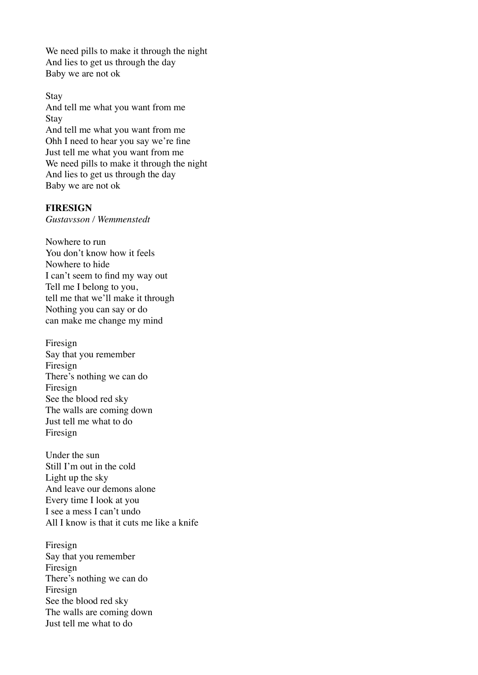We need pills to make it through the night And lies to get us through the day Baby we are not ok

Stay And tell me what you want from me Stay And tell me what you want from me Ohh I need to hear you say we're fine Just tell me what you want from me We need pills to make it through the night And lies to get us through the day Baby we are not ok

## **FIRESIGN**

*Gustavsson / Wemmenstedt*

Nowhere to run You don't know how it feels Nowhere to hide I can't seem to find my way out Tell me I belong to you, tell me that we'll make it through Nothing you can say or do can make me change my mind

Firesign Say that you remember Firesign There's nothing we can do Firesign See the blood red sky The walls are coming down Just tell me what to do Firesign

Under the sun Still I'm out in the cold Light up the sky And leave our demons alone Every time I look at you I see a mess I can't undo All I know is that it cuts me like a knife

Firesign Say that you remember Firesign There's nothing we can do Firesign See the blood red sky The walls are coming down Just tell me what to do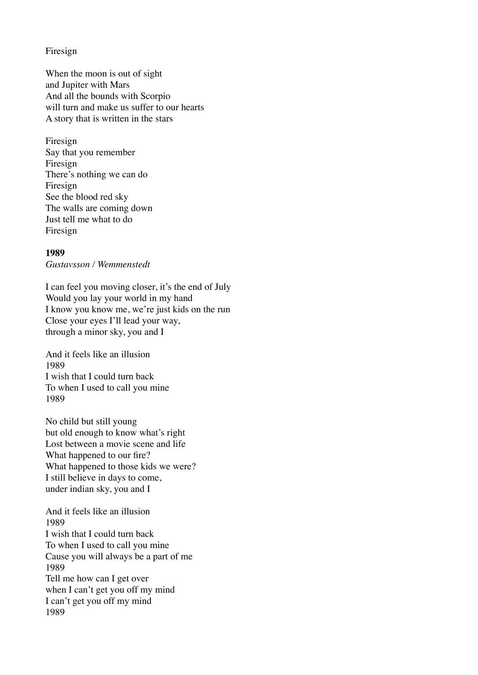# Firesign

When the moon is out of sight and Jupiter with Mars And all the bounds with Scorpio will turn and make us suffer to our hearts A story that is written in the stars

Firesign Say that you remember Firesign There's nothing we can do Firesign See the blood red sky The walls are coming down Just tell me what to do Firesign

## **1989**

*Gustavsson / Wemmenstedt*

I can feel you moving closer, it's the end of July Would you lay your world in my hand I know you know me, we're just kids on the run Close your eyes I'll lead your way, through a minor sky, you and I

And it feels like an illusion 1989 I wish that I could turn back To when I used to call you mine 1989

No child but still young but old enough to know what's right Lost between a movie scene and life What happened to our fire? What happened to those kids we were? I still believe in days to come, under indian sky, you and I

And it feels like an illusion 1989 I wish that I could turn back To when I used to call you mine Cause you will always be a part of me 1989 Tell me how can I get over when I can't get you off my mind I can't get you off my mind 1989